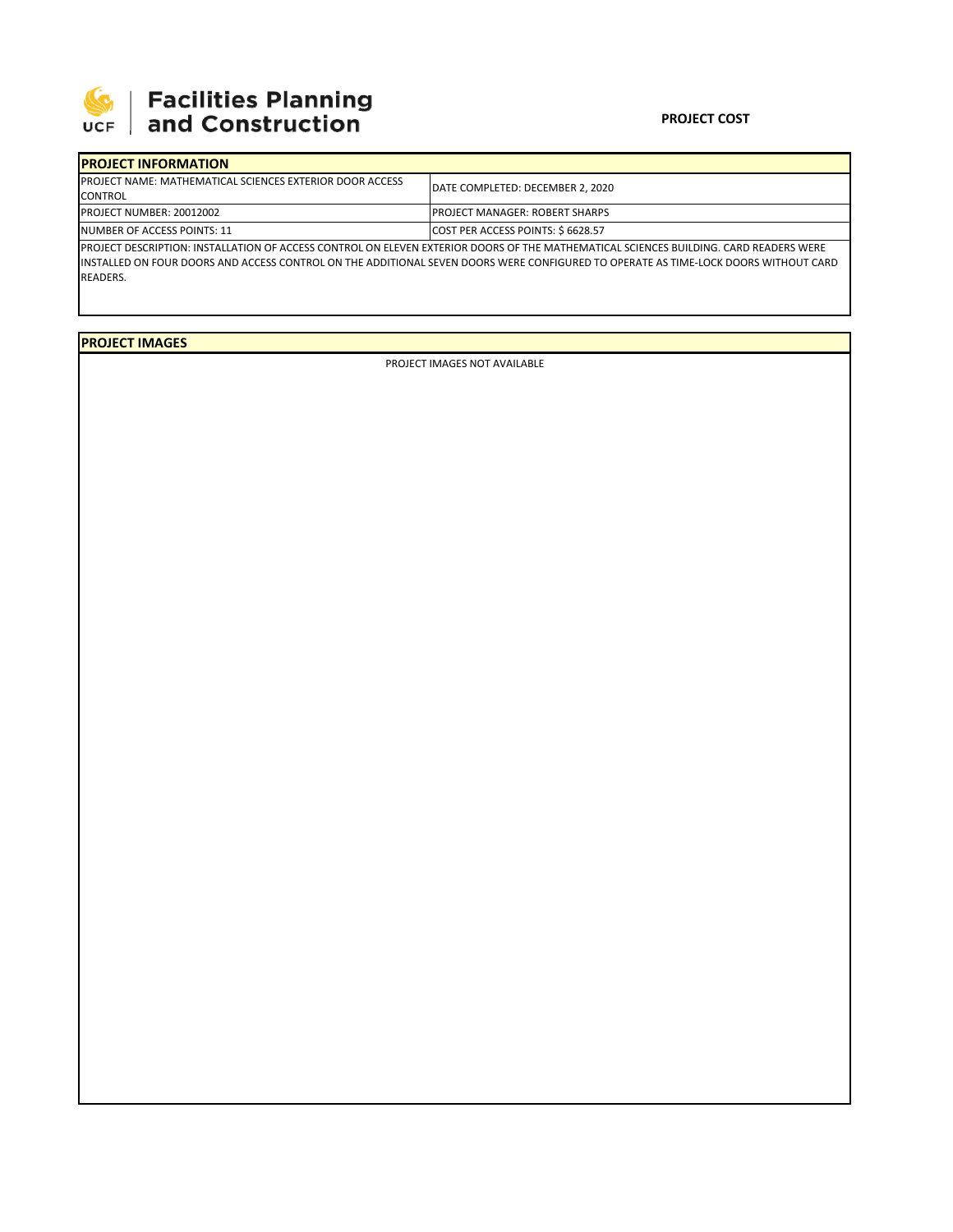

## 

## **PROJECT COST**

| <b>IPROJECT INFORMATION</b>                                      |                                                                                                                                       |  |  |  |
|------------------------------------------------------------------|---------------------------------------------------------------------------------------------------------------------------------------|--|--|--|
| <b>IPROJECT NAME: MATHEMATICAL SCIENCES EXTERIOR DOOR ACCESS</b> | DATE COMPLETED: DECEMBER 2. 2020                                                                                                      |  |  |  |
| <b>CONTROL</b>                                                   |                                                                                                                                       |  |  |  |
| <b>PROJECT NUMBER: 20012002</b>                                  | <b>IPROJECT MANAGER: ROBERT SHARPS</b><br>COST PER ACCESS POINTS: \$6628.57                                                           |  |  |  |
| NUMBER OF ACCESS POINTS: 11                                      |                                                                                                                                       |  |  |  |
|                                                                  | PROJECT DESCRIPTION: INSTALLATION OF ACCESS CONTROL ON ELEVEN EXTERIOR DOORS OF THE MATHEMATICAL SCIENCES BUILDING. CARD READERS WERE |  |  |  |

INSTALLED ON FOUR DOORS AND ACCESS CONTROL ON THE ADDITIONAL SEVEN DOORS WERE CONFIGURED TO OPERATE AS TIME‐LOCK DOORS WITHOUT CARD READERS.

**PROJECT IMAGES**

PROJECT IMAGES NOT AVAILABLE